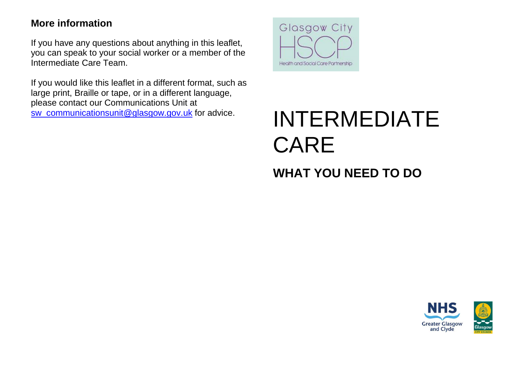# **More information**

If you have any questions about anything in this leaflet, you can speak to your social worker or a member of the Intermediate Care Team.

If you would like this leaflet in a different format, such as large print, Braille or tape, or in a different language, please contact our Communications Unit at



# [sw\\_communicationsunit@glasgow.gov.uk](mailto:sw_communicationsunit@glasgow.gov.uk) for advice. INTERMEDIATE CARE

# **WHAT YOU NEED TO DO**

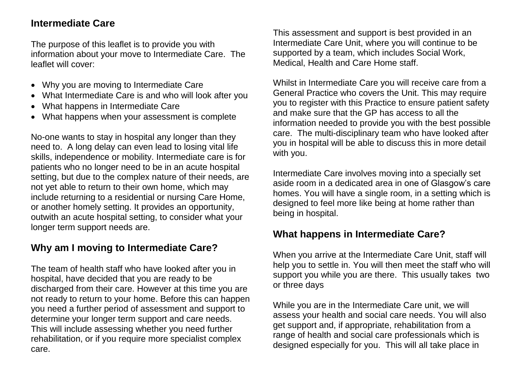### **Intermediate Care**

The purpose of this leaflet is to provide you with information about your move to Intermediate Care. The leaflet will cover:

- Why you are moving to Intermediate Care
- What Intermediate Care is and who will look after you
- What happens in Intermediate Care
- What happens when your assessment is complete

No-one wants to stay in hospital any longer than they need to. A long delay can even lead to losing vital life skills, independence or mobility. Intermediate care is for patients who no longer need to be in an acute hospital setting, but due to the complex nature of their needs, are not yet able to return to their own home, which may include returning to a residential or nursing Care Home, or another homely setting. It provides an opportunity, outwith an acute hospital setting, to consider what your longer term support needs are.

# **Why am I moving to Intermediate Care?**

The team of health staff who have looked after you in hospital, have decided that you are ready to be discharged from their care. However at this time you are not ready to return to your home. Before this can happen you need a further period of assessment and support to determine your longer term support and care needs. This will include assessing whether you need further rehabilitation, or if you require more specialist complex care.

This assessment and support is best provided in an Intermediate Care Unit, where you will continue to be supported by a team, which includes Social Work, Medical, Health and Care Home staff.

Whilst in Intermediate Care you will receive care from a General Practice who covers the Unit. This may require you to register with this Practice to ensure patient safety and make sure that the GP has access to all the information needed to provide you with the best possible care. The multi-disciplinary team who have looked after you in hospital will be able to discuss this in more detail with you.

Intermediate Care involves moving into a specially set aside room in a dedicated area in one of Glasgow's care homes. You will have a single room, in a setting which is designed to feel more like being at home rather than being in hospital.

# **What happens in Intermediate Care?**

When you arrive at the Intermediate Care Unit, staff will help you to settle in. You will then meet the staff who will support you while you are there. This usually takes two or three days

While you are in the Intermediate Care unit, we will assess your health and social care needs. You will also get support and, if appropriate, rehabilitation from a range of health and social care professionals which is designed especially for you. This will all take place in